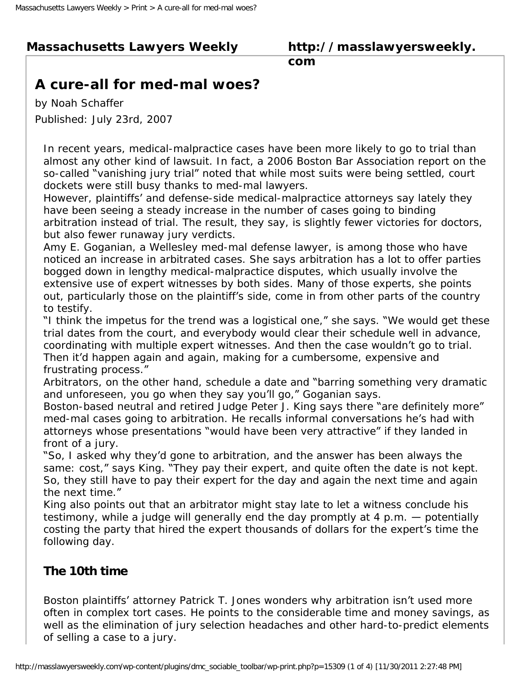# **Massachusetts Lawyers Weekly**

#### **http://masslawyersweekly. com**

# **A cure-all for med-mal woes?**

by Noah Schaffer Published: July 23rd, 2007

In recent years, medical-malpractice cases have been more likely to go to trial than almost any other kind of lawsuit. In fact, a 2006 Boston Bar Association report on the so-called "vanishing jury trial" noted that while most suits were being settled, court dockets were still busy thanks to med-mal lawyers.

However, plaintiffs' and defense-side medical-malpractice attorneys say lately they have been seeing a steady increase in the number of cases going to binding arbitration instead of trial. The result, they say, is slightly fewer victories for doctors, but also fewer runaway jury verdicts.

Amy E. Goganian, a Wellesley med-mal defense lawyer, is among those who have noticed an increase in arbitrated cases. She says arbitration has a lot to offer parties bogged down in lengthy medical-malpractice disputes, which usually involve the extensive use of expert witnesses by both sides. Many of those experts, she points out, particularly those on the plaintiff's side, come in from other parts of the country to testify.

"I think the impetus for the trend was a logistical one," she says. "We would get these trial dates from the court, and everybody would clear their schedule well in advance, coordinating with multiple expert witnesses. And then the case wouldn't go to trial. Then it'd happen again and again, making for a cumbersome, expensive and frustrating process."

Arbitrators, on the other hand, schedule a date and "barring something very dramatic and unforeseen, you go when they say you'll go," Goganian says.

Boston-based neutral and retired Judge Peter J. King says there "are definitely more" med-mal cases going to arbitration. He recalls informal conversations he's had with attorneys whose presentations "would have been very attractive" if they landed in front of a jury.

"So, I asked why they'd gone to arbitration, and the answer has been always the same: cost," says King. "They pay their expert, and quite often the date is not kept. So, they still have to pay their expert for the day and again the next time and again the next time."

King also points out that an arbitrator might stay late to let a witness conclude his testimony, while a judge will generally end the day promptly at 4 p.m. — potentially costing the party that hired the expert thousands of dollars for the expert's time the following day.

### **The 10th time**

Boston plaintiffs' attorney Patrick T. Jones wonders why arbitration isn't used more often in complex tort cases. He points to the considerable time and money savings, as well as the elimination of jury selection headaches and other hard-to-predict elements of selling a case to a jury.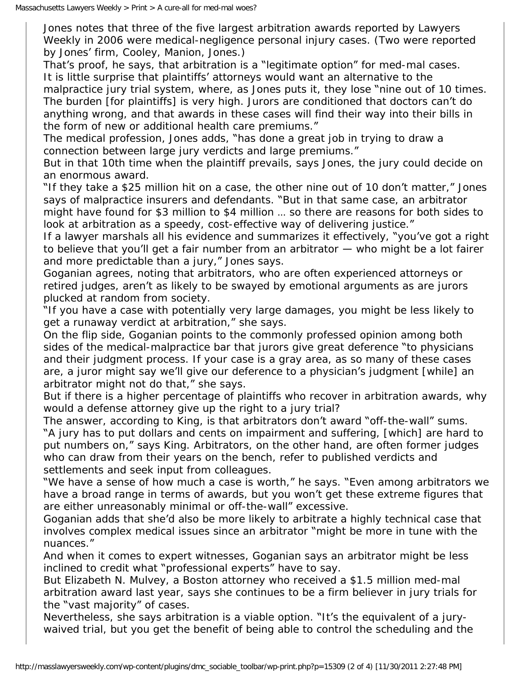Jones notes that three of the five largest arbitration awards reported by Lawyers Weekly in 2006 were medical-negligence personal injury cases. (Two were reported by Jones' firm, Cooley, Manion, Jones.)

That's proof, he says, that arbitration is a "legitimate option" for med-mal cases. It is little surprise that plaintiffs' attorneys would want an alternative to the

malpractice jury trial system, where, as Jones puts it, they lose "nine out of 10 times. The burden [for plaintiffs] is very high. Jurors are conditioned that doctors can't do anything wrong, and that awards in these cases will find their way into their bills in the form of new or additional health care premiums."

The medical profession, Jones adds, "has done a great job in trying to draw a connection between large jury verdicts and large premiums."

But in that 10th time when the plaintiff prevails, says Jones, the jury could decide on an enormous award.

"If they take a \$25 million hit on a case, the other nine out of 10 don't matter," Jones says of malpractice insurers and defendants. "But in that same case, an arbitrator might have found for \$3 million to \$4 million … so there are reasons for both sides to look at arbitration as a speedy, cost-effective way of delivering justice."

If a lawyer marshals all his evidence and summarizes it effectively, "you've got a right to believe that you'll get a fair number from an arbitrator — who might be a lot fairer and more predictable than a jury," Jones says.

Goganian agrees, noting that arbitrators, who are often experienced attorneys or retired judges, aren't as likely to be swayed by emotional arguments as are jurors plucked at random from society.

"If you have a case with potentially very large damages, you might be less likely to get a runaway verdict at arbitration," she says.

On the flip side, Goganian points to the commonly professed opinion among both sides of the medical-malpractice bar that jurors give great deference "to physicians and their judgment process. If your case is a gray area, as so many of these cases are, a juror might say we'll give our deference to a physician's judgment [while] an arbitrator might not do that," she says.

But if there is a higher percentage of plaintiffs who recover in arbitration awards, why would a defense attorney give up the right to a jury trial?

The answer, according to King, is that arbitrators don't award "off-the-wall" sums. "A jury has to put dollars and cents on impairment and suffering, [which] are hard to put numbers on," says King. Arbitrators, on the other hand, are often former judges who can draw from their years on the bench, refer to published verdicts and settlements and seek input from colleagues.

"We have a sense of how much a case is worth," he says. "Even among arbitrators we have a broad range in terms of awards, but you won't get these extreme figures that are either unreasonably minimal or off-the-wall" excessive.

Goganian adds that she'd also be more likely to arbitrate a highly technical case that involves complex medical issues since an arbitrator "might be more in tune with the nuances."

And when it comes to expert witnesses, Goganian says an arbitrator might be less inclined to credit what "professional experts" have to say.

But Elizabeth N. Mulvey, a Boston attorney who received a \$1.5 million med-mal arbitration award last year, says she continues to be a firm believer in jury trials for the "vast majority" of cases.

Nevertheless, she says arbitration is a viable option. "It's the equivalent of a jurywaived trial, but you get the benefit of being able to control the scheduling and the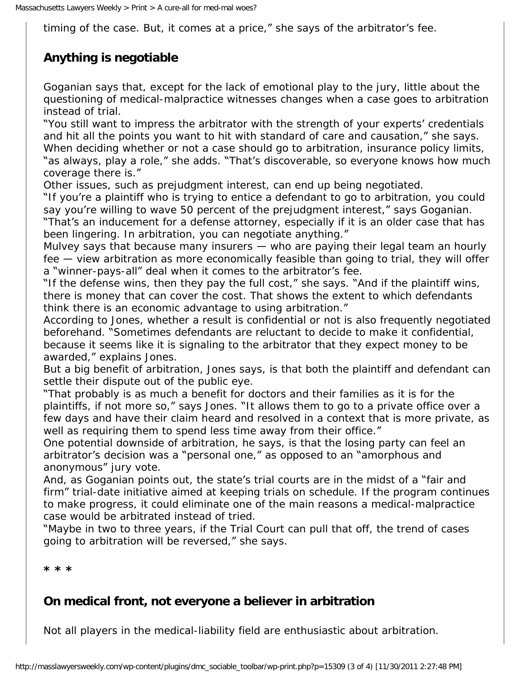timing of the case. But, it comes at a price," she says of the arbitrator's fee.

# **Anything is negotiable**

Goganian says that, except for the lack of emotional play to the jury, little about the questioning of medical-malpractice witnesses changes when a case goes to arbitration instead of trial.

"You still want to impress the arbitrator with the strength of your experts' credentials and hit all the points you want to hit with standard of care and causation," she says. When deciding whether or not a case should go to arbitration, insurance policy limits, "as always, play a role," she adds. "That's discoverable, so everyone knows how much coverage there is."

Other issues, such as prejudgment interest, can end up being negotiated.

"If you're a plaintiff who is trying to entice a defendant to go to arbitration, you could say you're willing to wave 50 percent of the prejudgment interest," says Goganian. "That's an inducement for a defense attorney, especially if it is an older case that has

been lingering. In arbitration, you can negotiate anything."

Mulvey says that because many insurers — who are paying their legal team an hourly fee — view arbitration as more economically feasible than going to trial, they will offer a "winner-pays-all" deal when it comes to the arbitrator's fee.

"If the defense wins, then they pay the full cost," she says. "And if the plaintiff wins, there is money that can cover the cost. That shows the extent to which defendants think there is an economic advantage to using arbitration."

According to Jones, whether a result is confidential or not is also frequently negotiated beforehand. "Sometimes defendants are reluctant to decide to make it confidential, because it seems like it is signaling to the arbitrator that they expect money to be awarded," explains Jones.

But a big benefit of arbitration, Jones says, is that both the plaintiff and defendant can settle their dispute out of the public eye.

"That probably is as much a benefit for doctors and their families as it is for the plaintiffs, if not more so," says Jones. "It allows them to go to a private office over a few days and have their claim heard and resolved in a context that is more private, as well as requiring them to spend less time away from their office."

One potential downside of arbitration, he says, is that the losing party can feel an arbitrator's decision was a "personal one," as opposed to an "amorphous and anonymous" jury vote.

And, as Goganian points out, the state's trial courts are in the midst of a "fair and firm" trial-date initiative aimed at keeping trials on schedule. If the program continues to make progress, it could eliminate one of the main reasons a medical-malpractice case would be arbitrated instead of tried.

"Maybe in two to three years, if the Trial Court can pull that off, the trend of cases going to arbitration will be reversed," she says.

**\* \* \***

### **On medical front, not everyone a believer in arbitration**

Not all players in the medical-liability field are enthusiastic about arbitration.